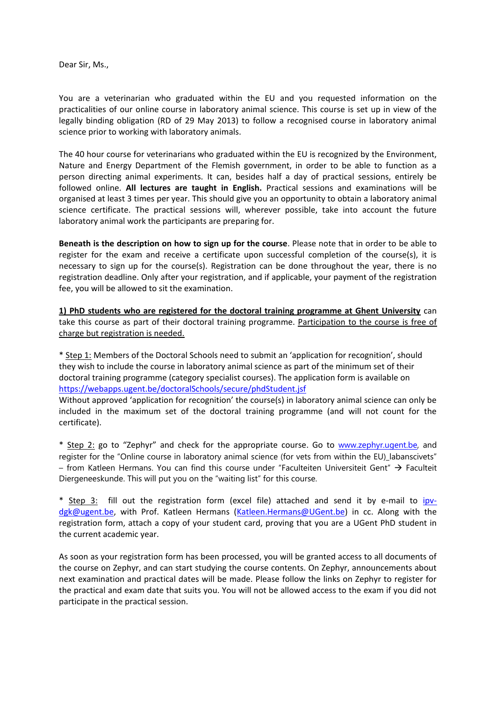Dear Sir, Ms.,

You are a veterinarian who graduated within the EU and you requested information on the practicalities of our online course in laboratory animal science. This course is set up in view of the legally binding obligation (RD of 29 May 2013) to follow a recognised course in laboratory animal science prior to working with laboratory animals.

The 40 hour course for veterinarians who graduated within the EU is recognized by the Environment, Nature and Energy Department of the Flemish government, in order to be able to function as a person directing animal experiments. It can, besides half a day of practical sessions, entirely be followed online. **All lectures are taught in English.** Practical sessions and examinations will be organised at least 3 times per year. This should give you an opportunity to obtain a laboratory animal science certificate. The practical sessions will, wherever possible, take into account the future laboratory animal work the participants are preparing for.

**Beneath is the description on how to sign up for the course**. Please note that in order to be able to register for the exam and receive a certificate upon successful completion of the course(s), it is necessary to sign up for the course(s). Registration can be done throughout the year, there is no registration deadline. Only after your registration, and if applicable, your payment of the registration fee, you will be allowed to sit the examination.

**1) PhD students who are registered for the doctoral training programme at Ghent University** can take this course as part of their doctoral training programme. Participation to the course is free of charge but registration is needed.

\* Step 1: Members of the Doctoral Schools need to submit an 'application for recognition', should they wish to include the course in laboratory animal science as part of the minimum set of their doctoral training programme (category specialist courses). The application form is available on <https://webapps.ugent.be/doctoralSchools/secure/phdStudent.jsf>

Without approved 'application for recognition' the course(s) in laboratory animal science can only be included in the maximum set of the doctoral training programme (and will not count for the certificate).

\* Step 2: go to "Zephyr" and check for the appropriate course. Go to [www.zephyr.ugent.be,](http://www.zephyr.ugent.be/) and register for the "Online course in laboratory animal science (for vets from within the EU)\_labanscivets" – from Katleen Hermans. You can find this course under "Faculteiten Universiteit Gent"  $\rightarrow$  Faculteit Diergeneeskunde. This will put you on the "waiting list" for this course.

\* Step 3: fill out the registration form (excel file) attached and send it by e-mail to [ipv](mailto:ipv-dgk@ugent.be)[dgk@ugent.be,](mailto:ipv-dgk@ugent.be) with Prof. Katleen Hermans [\(Katleen.Hermans@UGent.be\)](mailto:Katleen.Hermans@UGent.be) in cc. Along with the registration form, attach a copy of your student card, proving that you are a UGent PhD student in the current academic year.

As soon as your registration form has been processed, you will be granted access to all documents of the course on Zephyr, and can start studying the course contents. On Zephyr, announcements about next examination and practical dates will be made. Please follow the links on Zephyr to register for the practical and exam date that suits you. You will not be allowed access to the exam if you did not participate in the practical session.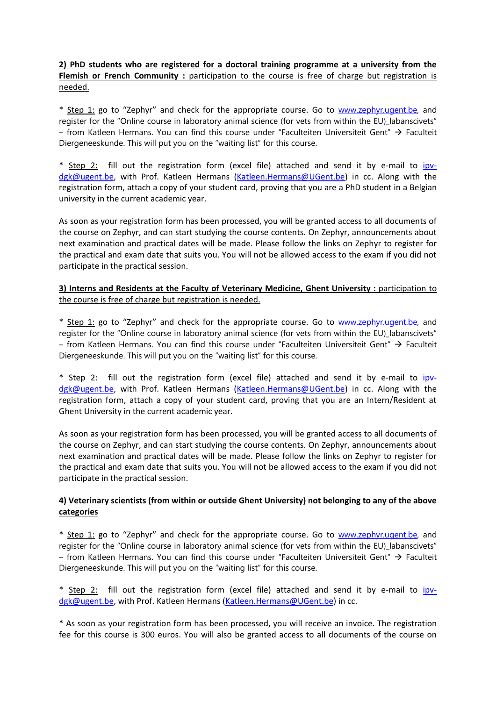**2) PhD students who are registered for a doctoral training programme at a university from the Flemish or French Community** : participation to the course is free of charge but registration is needed.

\* Step 1: go to "Zephyr" and check for the appropriate course. Go to [www.zephyr.ugent.be,](http://www.zephyr.ugent.be/) and register for the "Online course in laboratory animal science (for vets from within the EU) labanscivets" – from Katleen Hermans. You can find this course under "Faculteiten Universiteit Gent"  $\rightarrow$  Faculteit Diergeneeskunde. This will put you on the "waiting list" for this course.

\* Step 2: fill out the registration form (excel file) attached and send it by e-mail to [ipv](mailto:ipv-dgk@ugent.be)[dgk@ugent.be,](mailto:ipv-dgk@ugent.be) with Prof. Katleen Hermans [\(Katleen.Hermans@UGent.be\)](mailto:Katleen.Hermans@UGent.be) in cc. Along with the registration form, attach a copy of your student card, proving that you are a PhD student in a Belgian university in the current academic year.

As soon as your registration form has been processed, you will be granted access to all documents of the course on Zephyr, and can start studying the course contents. On Zephyr, announcements about next examination and practical dates will be made. Please follow the links on Zephyr to register for the practical and exam date that suits you. You will not be allowed access to the exam if you did not participate in the practical session.

## **3) Interns and Residents at the Faculty of Veterinary Medicine, Ghent University : participation to** the course is free of charge but registration is needed.

\* Step 1: go to "Zephyr" and check for the appropriate course. Go to [www.zephyr.ugent.be,](http://www.zephyr.ugent.be/) and register for the "Online course in laboratory animal science (for vets from within the EU) labanscivets" – from Katleen Hermans. You can find this course under "Faculteiten Universiteit Gent"  $\rightarrow$  Faculteit Diergeneeskunde. This will put you on the "waiting list" for this course.

\* Step 2: fill out the registration form (excel file) attached and send it by e-mail to [ipv](mailto:ipv-dgk@ugent.be)[dgk@ugent.be,](mailto:ipv-dgk@ugent.be) with Prof. Katleen Hermans [\(Katleen.Hermans@UGent.be\)](mailto:Katleen.Hermans@UGent.be) in cc. Along with the registration form, attach a copy of your student card, proving that you are an Intern/Resident at Ghent University in the current academic year.

As soon as your registration form has been processed, you will be granted access to all documents of the course on Zephyr, and can start studying the course contents. On Zephyr, announcements about next examination and practical dates will be made. Please follow the links on Zephyr to register for the practical and exam date that suits you. You will not be allowed access to the exam if you did not participate in the practical session.

## **4) Veterinary scientists (from within or outside Ghent University) not belonging to any of the above categories**

\* Step 1: go to "Zephyr" and check for the appropriate course. Go to [www.zephyr.ugent.be,](http://www.zephyr.ugent.be/) and register for the "Online course in laboratory animal science (for vets from within the EU) labanscivets" – from Katleen Hermans. You can find this course under "Faculteiten Universiteit Gent"  $\rightarrow$  Faculteit Diergeneeskunde. This will put you on the "waiting list" for this course.

\* Step 2: fill out the registration form (excel file) attached and send it by e-mail to [ipv](mailto:ipv-dgk@ugent.be)[dgk@ugent.be,](mailto:ipv-dgk@ugent.be) with Prof. Katleen Hermans [\(Katleen.Hermans@UGent.be\)](mailto:Katleen.Hermans@UGent.be) in cc.

\* As soon as your registration form has been processed, you will receive an invoice. The registration fee for this course is 300 euros. You will also be granted access to all documents of the course on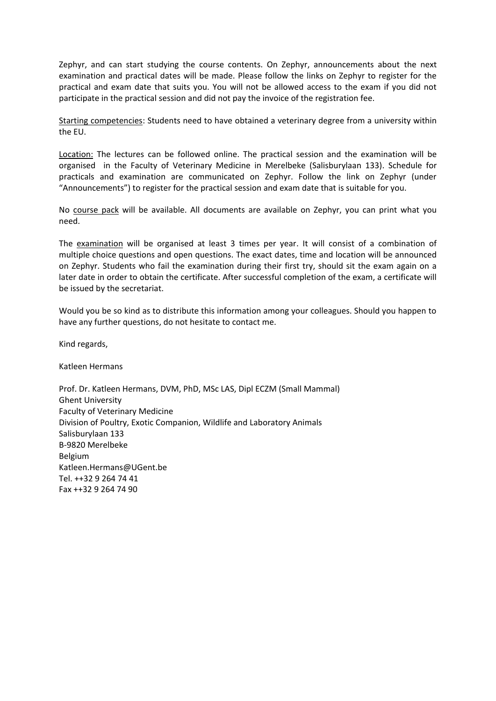Zephyr, and can start studying the course contents. On Zephyr, announcements about the next examination and practical dates will be made. Please follow the links on Zephyr to register for the practical and exam date that suits you. You will not be allowed access to the exam if you did not participate in the practical session and did not pay the invoice of the registration fee.

Starting competencies: Students need to have obtained a veterinary degree from a university within the EU.

Location: The lectures can be followed online. The practical session and the examination will be organised in the Faculty of Veterinary Medicine in Merelbeke (Salisburylaan 133). Schedule for practicals and examination are communicated on Zephyr. Follow the link on Zephyr (under "Announcements") to register for the practical session and exam date that is suitable for you.

No course pack will be available. All documents are available on Zephyr, you can print what you need.

The examination will be organised at least 3 times per year. It will consist of a combination of multiple choice questions and open questions. The exact dates, time and location will be announced on Zephyr. Students who fail the examination during their first try, should sit the exam again on a later date in order to obtain the certificate. After successful completion of the exam, a certificate will be issued by the secretariat.

Would you be so kind as to distribute this information among your colleagues. Should you happen to have any further questions, do not hesitate to contact me.

Kind regards,

Katleen Hermans

Prof. Dr. Katleen Hermans, DVM, PhD, MSc LAS, Dipl ECZM (Small Mammal) Ghent University Faculty of Veterinary Medicine Division of Poultry, Exotic Companion, Wildlife and Laboratory Animals Salisburylaan 133 B-9820 Merelbeke Belgium Katleen.Hermans@UGent.be Tel. ++32 9 264 74 41 Fax ++32 9 264 74 90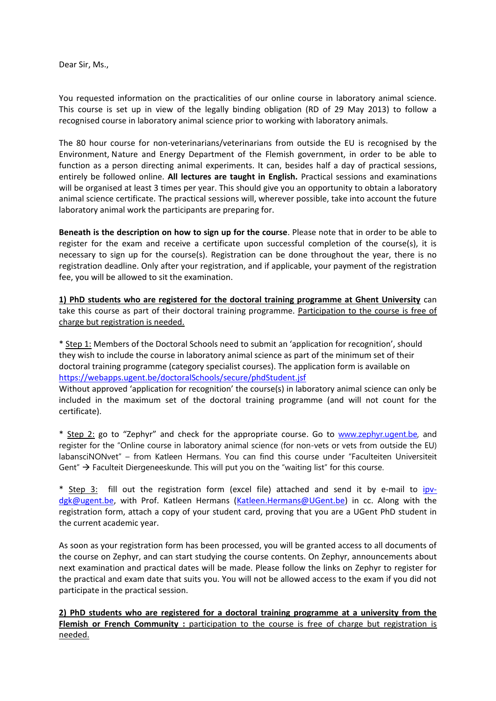Dear Sir, Ms.,

You requested information on the practicalities of our online course in laboratory animal science. This course is set up in view of the legally binding obligation (RD of 29 May 2013) to follow a recognised course in laboratory animal science prior to working with laboratory animals.

The 80 hour course for non-veterinarians/veterinarians from outside the EU is recognised by the Environment, Nature and Energy Department of the Flemish government, in order to be able to function as a person directing animal experiments. It can, besides half a day of practical sessions, entirely be followed online. **All lectures are taught in English.** Practical sessions and examinations will be organised at least 3 times per year. This should give you an opportunity to obtain a laboratory animal science certificate. The practical sessions will, wherever possible, take into account the future laboratory animal work the participants are preparing for.

**Beneath is the description on how to sign up for the course**. Please note that in order to be able to register for the exam and receive a certificate upon successful completion of the course(s), it is necessary to sign up for the course(s). Registration can be done throughout the year, there is no registration deadline. Only after your registration, and if applicable, your payment of the registration fee, you will be allowed to sit the examination.

**1) PhD students who are registered for the doctoral training programme at Ghent University** can take this course as part of their doctoral training programme. Participation to the course is free of charge but registration is needed.

\* Step 1: Members of the Doctoral Schools need to submit an 'application for recognition', should they wish to include the course in laboratory animal science as part of the minimum set of their doctoral training programme (category specialist courses). The application form is available on <https://webapps.ugent.be/doctoralSchools/secure/phdStudent.jsf>

Without approved 'application for recognition' the course(s) in laboratory animal science can only be included in the maximum set of the doctoral training programme (and will not count for the certificate).

\* Step 2: go to "Zephyr" and check for the appropriate course. Go to [www.zephyr.ugent.be,](http://www.zephyr.ugent.be/) and register for the "Online course in laboratory animal science (for non-vets or vets from outside the EU) labansciNONvet" – from Katleen Hermans. You can find this course under "Faculteiten Universiteit Gent"  $\rightarrow$  Faculteit Diergeneeskunde. This will put you on the "waiting list" for this course.

\* Step 3: fill out the registration form (excel file) attached and send it by e-mail to [ipv](mailto:ipv-dgk@ugent.be)[dgk@ugent.be,](mailto:ipv-dgk@ugent.be) with Prof. Katleen Hermans [\(Katleen.Hermans@UGent.be\)](mailto:Katleen.Hermans@UGent.be) in cc. Along with the registration form, attach a copy of your student card, proving that you are a UGent PhD student in the current academic year.

As soon as your registration form has been processed, you will be granted access to all documents of the course on Zephyr, and can start studying the course contents. On Zephyr, announcements about next examination and practical dates will be made. Please follow the links on Zephyr to register for the practical and exam date that suits you. You will not be allowed access to the exam if you did not participate in the practical session.

**2) PhD students who are registered for a doctoral training programme at a university from the**  Flemish or French Community : participation to the course is free of charge but registration is needed.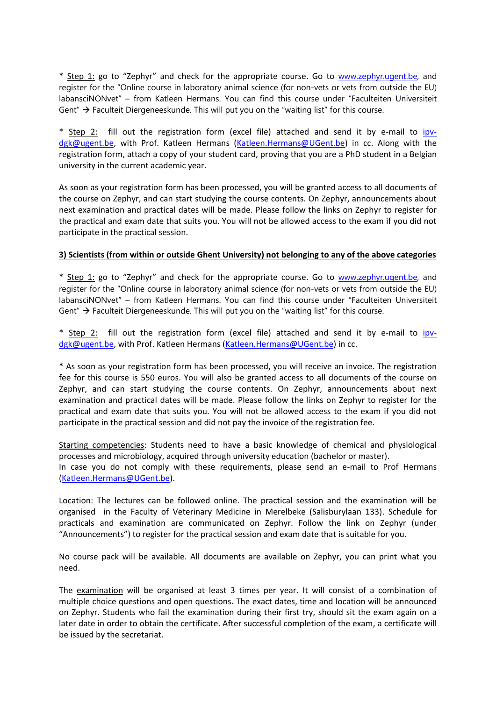\* Step 1: go to "Zephyr" and check for the appropriate course. Go to [www.zephyr.ugent.be,](http://www.zephyr.ugent.be/) and register for the "Online course in laboratory animal science (for non-vets or vets from outside the EU) labansciNONvet" – from Katleen Hermans. You can find this course under "Faculteiten Universiteit Gent"  $\rightarrow$  Faculteit Diergeneeskunde. This will put you on the "waiting list" for this course.

\* Step 2: fill out the registration form (excel file) attached and send it by e-mail to [ipv](mailto:ipv-dgk@ugent.be)[dgk@ugent.be,](mailto:ipv-dgk@ugent.be) with Prof. Katleen Hermans [\(Katleen.Hermans@UGent.be\)](mailto:Katleen.Hermans@UGent.be) in cc. Along with the registration form, attach a copy of your student card, proving that you are a PhD student in a Belgian university in the current academic year.

As soon as your registration form has been processed, you will be granted access to all documents of the course on Zephyr, and can start studying the course contents. On Zephyr, announcements about next examination and practical dates will be made. Please follow the links on Zephyr to register for the practical and exam date that suits you. You will not be allowed access to the exam if you did not participate in the practical session.

## **3) Scientists (from within or outside Ghent University) not belonging to any of the above categories**

\* Step 1: go to "Zephyr" and check for the appropriate course. Go to [www.zephyr.ugent.be,](http://www.zephyr.ugent.be/) and register for the "Online course in laboratory animal science (for non-vets or vets from outside the EU) labansciNONvet" – from Katleen Hermans. You can find this course under "Faculteiten Universiteit Gent"  $\rightarrow$  Faculteit Diergeneeskunde. This will put you on the "waiting list" for this course.

\* Step 2: fill out the registration form (excel file) attached and send it by e-mail to [ipv](mailto:ipv-dgk@ugent.be)[dgk@ugent.be,](mailto:ipv-dgk@ugent.be) with Prof. Katleen Hermans [\(Katleen.Hermans@UGent.be\)](mailto:Katleen.Hermans@UGent.be) in cc.

\* As soon as your registration form has been processed, you will receive an invoice. The registration fee for this course is 550 euros. You will also be granted access to all documents of the course on Zephyr, and can start studying the course contents. On Zephyr, announcements about next examination and practical dates will be made. Please follow the links on Zephyr to register for the practical and exam date that suits you. You will not be allowed access to the exam if you did not participate in the practical session and did not pay the invoice of the registration fee.

Starting competencies: Students need to have a basic knowledge of chemical and physiological processes and microbiology, acquired through university education (bachelor or master). In case you do not comply with these requirements, please send an e-mail to Prof Hermans

[\(Katleen.Hermans@UGent.be\)](mailto:Katleen.Hermans@UGent.be).

Location: The lectures can be followed online. The practical session and the examination will be organised in the Faculty of Veterinary Medicine in Merelbeke (Salisburylaan 133). Schedule for practicals and examination are communicated on Zephyr. Follow the link on Zephyr (under "Announcements") to register for the practical session and exam date that is suitable for you.

No course pack will be available. All documents are available on Zephyr, you can print what you need.

The examination will be organised at least 3 times per year. It will consist of a combination of multiple choice questions and open questions. The exact dates, time and location will be announced on Zephyr. Students who fail the examination during their first try, should sit the exam again on a later date in order to obtain the certificate. After successful completion of the exam, a certificate will be issued by the secretariat.